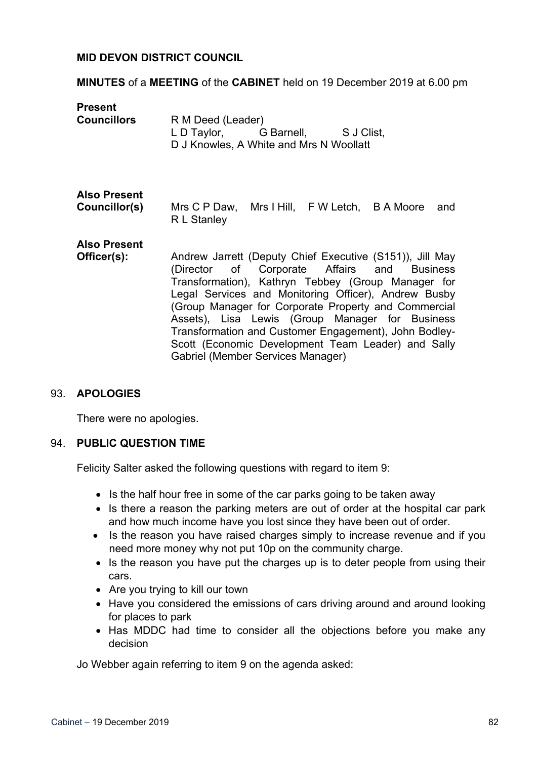## **MID DEVON DISTRICT COUNCIL**

### **MINUTES** of a **MEETING** of the **CABINET** held on 19 December 2019 at 6.00 pm

| <b>Present</b><br><b>Councillors</b> | R M Deed (Leader)<br>L D Taylor, G Barnell, S J Clist,<br>D J Knowles, A White and Mrs N Woollatt                                                                                                                                                                                                                                                                                                                                                                                    |
|--------------------------------------|--------------------------------------------------------------------------------------------------------------------------------------------------------------------------------------------------------------------------------------------------------------------------------------------------------------------------------------------------------------------------------------------------------------------------------------------------------------------------------------|
| <b>Also Present</b><br>Councillor(s) | Mrs C P Daw, Mrs I Hill, F W Letch, B A Moore<br>and<br>R L Stanley                                                                                                                                                                                                                                                                                                                                                                                                                  |
| <b>Also Present</b><br>Officer(s):   | Andrew Jarrett (Deputy Chief Executive (S151)), Jill May<br>(Director of Corporate Affairs and Business<br>Transformation), Kathryn Tebbey (Group Manager for<br>Legal Services and Monitoring Officer), Andrew Busby<br>(Group Manager for Corporate Property and Commercial<br>Assets), Lisa Lewis (Group Manager for Business<br>Transformation and Customer Engagement), John Bodley-<br>Scott (Economic Development Team Leader) and Sally<br>Gabriel (Member Services Manager) |

### 93. **APOLOGIES**

There were no apologies.

### 94. **PUBLIC QUESTION TIME**

Felicity Salter asked the following questions with regard to item 9:

- Is the half hour free in some of the car parks going to be taken away
- Is there a reason the parking meters are out of order at the hospital car park and how much income have you lost since they have been out of order.
- Is the reason you have raised charges simply to increase revenue and if you need more money why not put 10p on the community charge.
- Is the reason you have put the charges up is to deter people from using their cars.
- Are you trying to kill our town
- Have you considered the emissions of cars driving around and around looking for places to park
- Has MDDC had time to consider all the objections before you make any decision

Jo Webber again referring to item 9 on the agenda asked: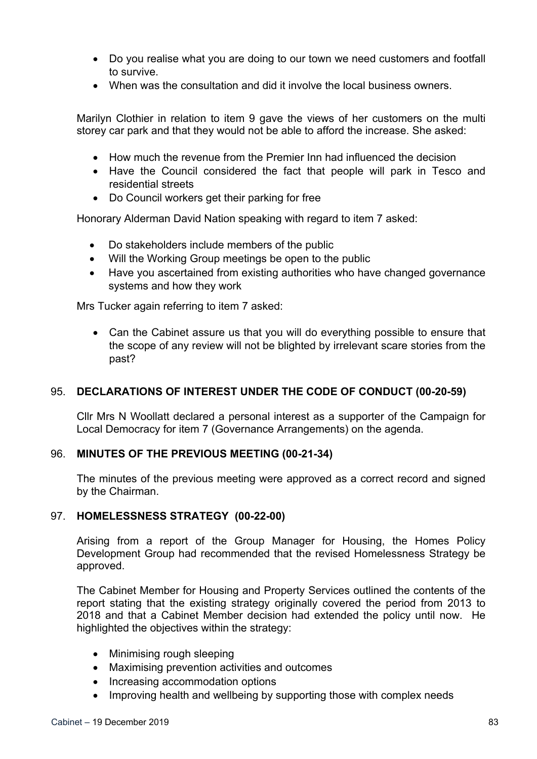- Do you realise what you are doing to our town we need customers and footfall to survive.
- When was the consultation and did it involve the local business owners.

Marilyn Clothier in relation to item 9 gave the views of her customers on the multi storey car park and that they would not be able to afford the increase. She asked:

- How much the revenue from the Premier Inn had influenced the decision
- Have the Council considered the fact that people will park in Tesco and residential streets
- Do Council workers get their parking for free

Honorary Alderman David Nation speaking with regard to item 7 asked:

- Do stakeholders include members of the public
- Will the Working Group meetings be open to the public
- Have you ascertained from existing authorities who have changed governance systems and how they work

Mrs Tucker again referring to item 7 asked:

 Can the Cabinet assure us that you will do everything possible to ensure that the scope of any review will not be blighted by irrelevant scare stories from the past?

## 95. **DECLARATIONS OF INTEREST UNDER THE CODE OF CONDUCT (00-20-59)**

Cllr Mrs N Woollatt declared a personal interest as a supporter of the Campaign for Local Democracy for item 7 (Governance Arrangements) on the agenda.

## 96. **MINUTES OF THE PREVIOUS MEETING (00-21-34)**

The minutes of the previous meeting were approved as a correct record and signed by the Chairman.

## 97. **HOMELESSNESS STRATEGY (00-22-00)**

Arising from a report of the Group Manager for Housing, the Homes Policy Development Group had recommended that the revised Homelessness Strategy be approved.

The Cabinet Member for Housing and Property Services outlined the contents of the report stating that the existing strategy originally covered the period from 2013 to 2018 and that a Cabinet Member decision had extended the policy until now. He highlighted the objectives within the strategy:

- Minimising rough sleeping
- Maximising prevention activities and outcomes
- Increasing accommodation options
- Improving health and wellbeing by supporting those with complex needs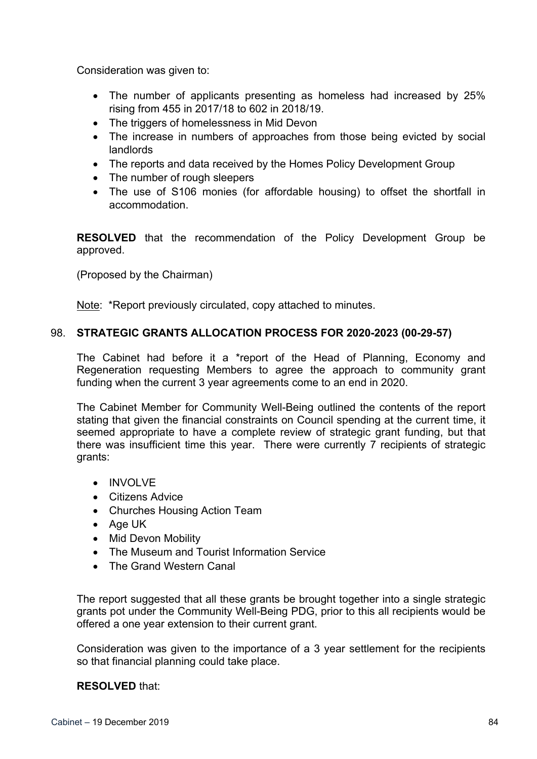Consideration was given to:

- The number of applicants presenting as homeless had increased by 25% rising from 455 in 2017/18 to 602 in 2018/19.
- The triggers of homelessness in Mid Devon
- The increase in numbers of approaches from those being evicted by social landlords
- The reports and data received by the Homes Policy Development Group
- The number of rough sleepers
- The use of S106 monies (for affordable housing) to offset the shortfall in accommodation.

**RESOLVED** that the recommendation of the Policy Development Group be approved.

(Proposed by the Chairman)

Note: \*Report previously circulated, copy attached to minutes.

# 98. **STRATEGIC GRANTS ALLOCATION PROCESS FOR 2020-2023 (00-29-57)**

The Cabinet had before it a \*report of the Head of Planning, Economy and Regeneration requesting Members to agree the approach to community grant funding when the current 3 year agreements come to an end in 2020.

The Cabinet Member for Community Well-Being outlined the contents of the report stating that given the financial constraints on Council spending at the current time, it seemed appropriate to have a complete review of strategic grant funding, but that there was insufficient time this year. There were currently 7 recipients of strategic grants:

- INVOLVE
- Citizens Advice
- Churches Housing Action Team
- Age UK
- Mid Devon Mobility
- The Museum and Tourist Information Service
- The Grand Western Canal

The report suggested that all these grants be brought together into a single strategic grants pot under the Community Well-Being PDG, prior to this all recipients would be offered a one year extension to their current grant.

Consideration was given to the importance of a 3 year settlement for the recipients so that financial planning could take place.

## **RESOLVED** that: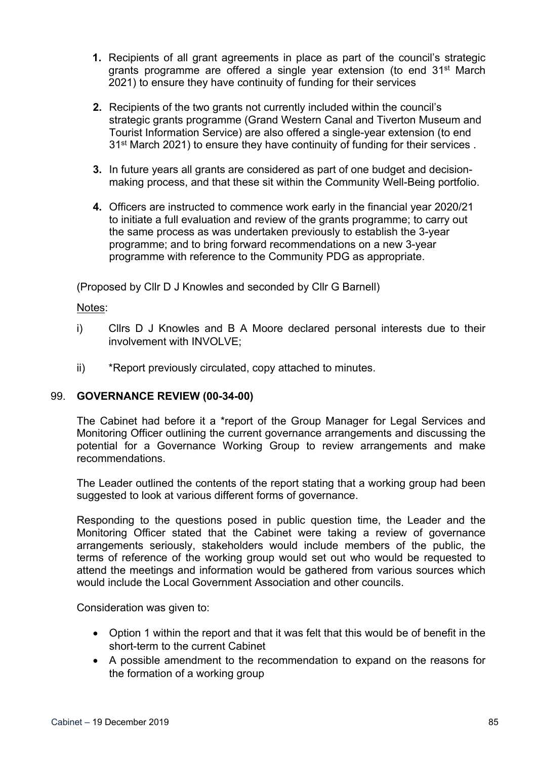- **1.** Recipients of all grant agreements in place as part of the council's strategic grants programme are offered a single year extension (to end 31<sup>st</sup> March 2021) to ensure they have continuity of funding for their services
- **2.** Recipients of the two grants not currently included within the council's strategic grants programme (Grand Western Canal and Tiverton Museum and Tourist Information Service) are also offered a single-year extension (to end 31<sup>st</sup> March 2021) to ensure they have continuity of funding for their services.
- **3.** In future years all grants are considered as part of one budget and decisionmaking process, and that these sit within the Community Well-Being portfolio.
- **4.** Officers are instructed to commence work early in the financial year 2020/21 to initiate a full evaluation and review of the grants programme; to carry out the same process as was undertaken previously to establish the 3-year programme; and to bring forward recommendations on a new 3-year programme with reference to the Community PDG as appropriate.

(Proposed by Cllr D J Knowles and seconded by Cllr G Barnell)

## Notes:

- i) Cllrs D J Knowles and B A Moore declared personal interests due to their involvement with INVOLVE;
- ii) \*Report previously circulated, copy attached to minutes.

## 99. **GOVERNANCE REVIEW (00-34-00)**

The Cabinet had before it a \*report of the Group Manager for Legal Services and Monitoring Officer outlining the current governance arrangements and discussing the potential for a Governance Working Group to review arrangements and make recommendations.

The Leader outlined the contents of the report stating that a working group had been suggested to look at various different forms of governance.

Responding to the questions posed in public question time, the Leader and the Monitoring Officer stated that the Cabinet were taking a review of governance arrangements seriously, stakeholders would include members of the public, the terms of reference of the working group would set out who would be requested to attend the meetings and information would be gathered from various sources which would include the Local Government Association and other councils.

- Option 1 within the report and that it was felt that this would be of benefit in the short-term to the current Cabinet
- A possible amendment to the recommendation to expand on the reasons for the formation of a working group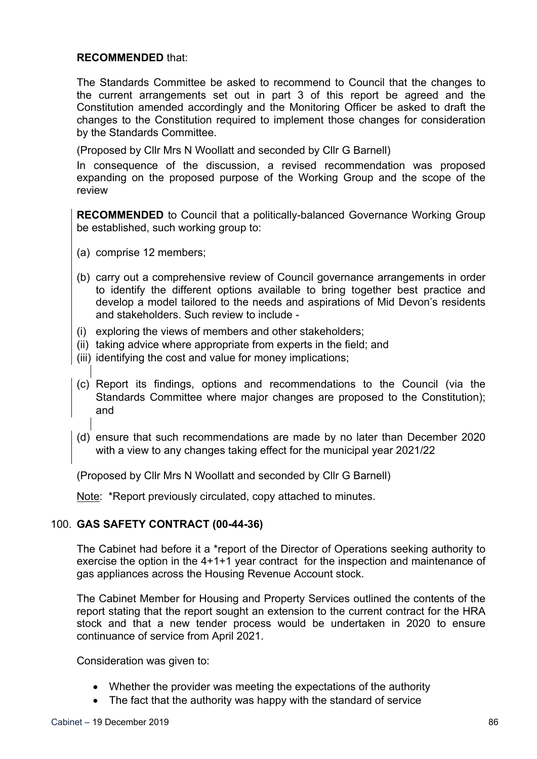## **RECOMMENDED** that:

The Standards Committee be asked to recommend to Council that the changes to the current arrangements set out in part 3 of this report be agreed and the Constitution amended accordingly and the Monitoring Officer be asked to draft the changes to the Constitution required to implement those changes for consideration by the Standards Committee.

(Proposed by Cllr Mrs N Woollatt and seconded by Cllr G Barnell)

In consequence of the discussion, a revised recommendation was proposed expanding on the proposed purpose of the Working Group and the scope of the review

**RECOMMENDED** to Council that a politically-balanced Governance Working Group be established, such working group to:

- (a) comprise 12 members;
- (b) carry out a comprehensive review of Council governance arrangements in order to identify the different options available to bring together best practice and develop a model tailored to the needs and aspirations of Mid Devon's residents and stakeholders. Such review to include -
- (i) exploring the views of members and other stakeholders;
- (ii) taking advice where appropriate from experts in the field; and
- (iii) identifying the cost and value for money implications;
- (c) Report its findings, options and recommendations to the Council (via the Standards Committee where major changes are proposed to the Constitution); and
- (d) ensure that such recommendations are made by no later than December 2020 with a view to any changes taking effect for the municipal year 2021/22

(Proposed by Cllr Mrs N Woollatt and seconded by Cllr G Barnell)

Note: \*Report previously circulated, copy attached to minutes.

## 100. **GAS SAFETY CONTRACT (00-44-36)**

The Cabinet had before it a \*report of the Director of Operations seeking authority to exercise the option in the 4+1+1 year contract for the inspection and maintenance of gas appliances across the Housing Revenue Account stock.

The Cabinet Member for Housing and Property Services outlined the contents of the report stating that the report sought an extension to the current contract for the HRA stock and that a new tender process would be undertaken in 2020 to ensure continuance of service from April 2021.

- Whether the provider was meeting the expectations of the authority
- The fact that the authority was happy with the standard of service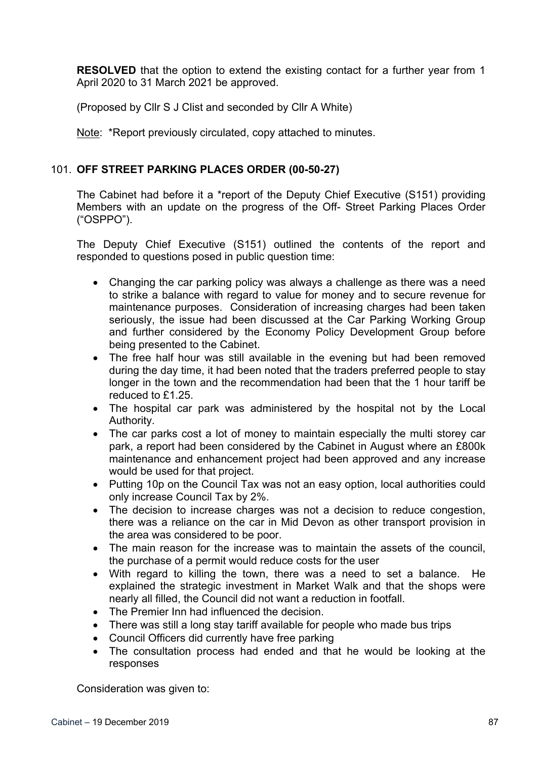**RESOLVED** that the option to extend the existing contact for a further year from 1 April 2020 to 31 March 2021 be approved.

(Proposed by Cllr S J Clist and seconded by Cllr A White)

Note: \*Report previously circulated, copy attached to minutes.

# 101. **OFF STREET PARKING PLACES ORDER (00-50-27)**

The Cabinet had before it a \*report of the Deputy Chief Executive (S151) providing Members with an update on the progress of the Off- Street Parking Places Order ("OSPPO").

The Deputy Chief Executive (S151) outlined the contents of the report and responded to questions posed in public question time:

- Changing the car parking policy was always a challenge as there was a need to strike a balance with regard to value for money and to secure revenue for maintenance purposes. Consideration of increasing charges had been taken seriously, the issue had been discussed at the Car Parking Working Group and further considered by the Economy Policy Development Group before being presented to the Cabinet.
- The free half hour was still available in the evening but had been removed during the day time, it had been noted that the traders preferred people to stay longer in the town and the recommendation had been that the 1 hour tariff be reduced to £1.25.
- The hospital car park was administered by the hospital not by the Local Authority.
- The car parks cost a lot of money to maintain especially the multi storey car park, a report had been considered by the Cabinet in August where an £800k maintenance and enhancement project had been approved and any increase would be used for that project.
- Putting 10p on the Council Tax was not an easy option, local authorities could only increase Council Tax by 2%.
- The decision to increase charges was not a decision to reduce congestion, there was a reliance on the car in Mid Devon as other transport provision in the area was considered to be poor.
- The main reason for the increase was to maintain the assets of the council, the purchase of a permit would reduce costs for the user
- With regard to killing the town, there was a need to set a balance. He explained the strategic investment in Market Walk and that the shops were nearly all filled, the Council did not want a reduction in footfall.
- The Premier Inn had influenced the decision.
- There was still a long stay tariff available for people who made bus trips
- Council Officers did currently have free parking
- The consultation process had ended and that he would be looking at the responses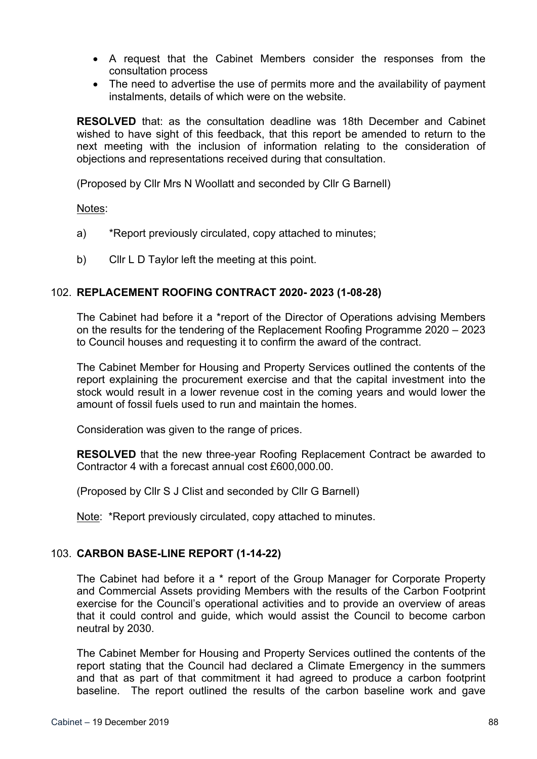- A request that the Cabinet Members consider the responses from the consultation process
- The need to advertise the use of permits more and the availability of payment instalments, details of which were on the website.

**RESOLVED** that: as the consultation deadline was 18th December and Cabinet wished to have sight of this feedback, that this report be amended to return to the next meeting with the inclusion of information relating to the consideration of objections and representations received during that consultation.

(Proposed by Cllr Mrs N Woollatt and seconded by Cllr G Barnell)

Notes:

- a) \*Report previously circulated, copy attached to minutes;
- b) Cllr L D Taylor left the meeting at this point.

## 102. **REPLACEMENT ROOFING CONTRACT 2020- 2023 (1-08-28)**

The Cabinet had before it a \*report of the Director of Operations advising Members on the results for the tendering of the Replacement Roofing Programme 2020 – 2023 to Council houses and requesting it to confirm the award of the contract.

The Cabinet Member for Housing and Property Services outlined the contents of the report explaining the procurement exercise and that the capital investment into the stock would result in a lower revenue cost in the coming years and would lower the amount of fossil fuels used to run and maintain the homes.

Consideration was given to the range of prices.

**RESOLVED** that the new three-year Roofing Replacement Contract be awarded to Contractor 4 with a forecast annual cost £600,000.00.

(Proposed by Cllr S J Clist and seconded by Cllr G Barnell)

Note: \*Report previously circulated, copy attached to minutes.

### 103. **CARBON BASE-LINE REPORT (1-14-22)**

The Cabinet had before it a \* report of the Group Manager for Corporate Property and Commercial Assets providing Members with the results of the Carbon Footprint exercise for the Council's operational activities and to provide an overview of areas that it could control and guide, which would assist the Council to become carbon neutral by 2030.

The Cabinet Member for Housing and Property Services outlined the contents of the report stating that the Council had declared a Climate Emergency in the summers and that as part of that commitment it had agreed to produce a carbon footprint baseline. The report outlined the results of the carbon baseline work and gave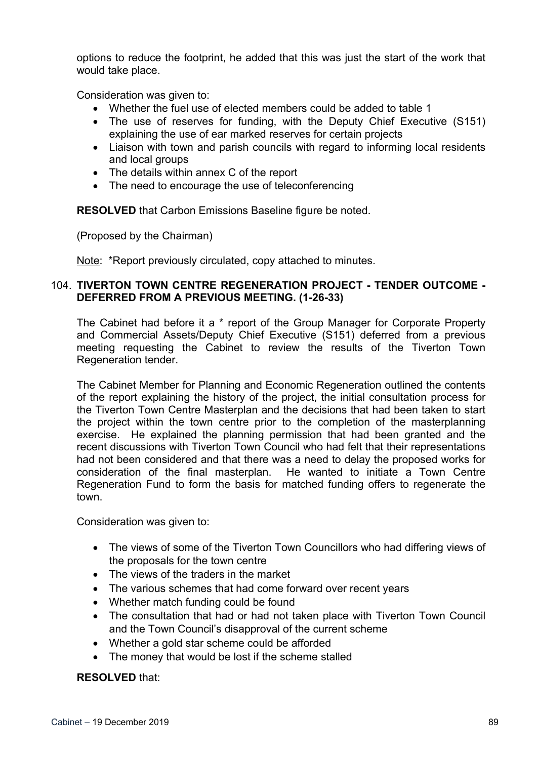options to reduce the footprint, he added that this was just the start of the work that would take place.

Consideration was given to:

- Whether the fuel use of elected members could be added to table 1
- The use of reserves for funding, with the Deputy Chief Executive (S151) explaining the use of ear marked reserves for certain projects
- Liaison with town and parish councils with regard to informing local residents and local groups
- The details within annex C of the report
- The need to encourage the use of teleconferencing

**RESOLVED** that Carbon Emissions Baseline figure be noted.

(Proposed by the Chairman)

Note: \*Report previously circulated, copy attached to minutes.

## 104. **TIVERTON TOWN CENTRE REGENERATION PROJECT - TENDER OUTCOME - DEFERRED FROM A PREVIOUS MEETING. (1-26-33)**

The Cabinet had before it a \* report of the Group Manager for Corporate Property and Commercial Assets/Deputy Chief Executive (S151) deferred from a previous meeting requesting the Cabinet to review the results of the Tiverton Town Regeneration tender.

The Cabinet Member for Planning and Economic Regeneration outlined the contents of the report explaining the history of the project, the initial consultation process for the Tiverton Town Centre Masterplan and the decisions that had been taken to start the project within the town centre prior to the completion of the masterplanning exercise. He explained the planning permission that had been granted and the recent discussions with Tiverton Town Council who had felt that their representations had not been considered and that there was a need to delay the proposed works for consideration of the final masterplan. He wanted to initiate a Town Centre Regeneration Fund to form the basis for matched funding offers to regenerate the town.

Consideration was given to:

- The views of some of the Tiverton Town Councillors who had differing views of the proposals for the town centre
- The views of the traders in the market
- The various schemes that had come forward over recent years
- Whether match funding could be found
- The consultation that had or had not taken place with Tiverton Town Council and the Town Council's disapproval of the current scheme
- Whether a gold star scheme could be afforded
- The money that would be lost if the scheme stalled

## **RESOLVED** that: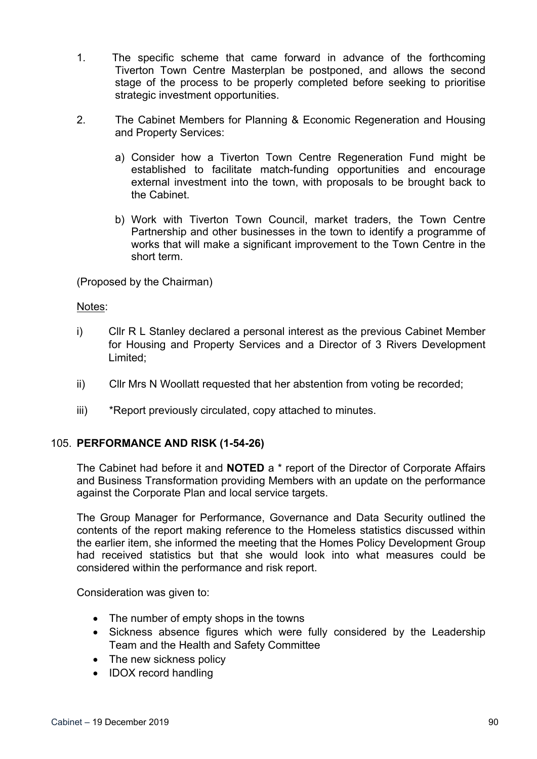- 1. The specific scheme that came forward in advance of the forthcoming Tiverton Town Centre Masterplan be postponed, and allows the second stage of the process to be properly completed before seeking to prioritise strategic investment opportunities.
- 2. The Cabinet Members for Planning & Economic Regeneration and Housing and Property Services:
	- a) Consider how a Tiverton Town Centre Regeneration Fund might be established to facilitate match-funding opportunities and encourage external investment into the town, with proposals to be brought back to the Cabinet.
	- b) Work with Tiverton Town Council, market traders, the Town Centre Partnership and other businesses in the town to identify a programme of works that will make a significant improvement to the Town Centre in the short term.

(Proposed by the Chairman)

## Notes:

- i) Cllr R L Stanley declared a personal interest as the previous Cabinet Member for Housing and Property Services and a Director of 3 Rivers Development Limited;
- ii) Cllr Mrs N Woollatt requested that her abstention from voting be recorded;
- iii) \*Report previously circulated, copy attached to minutes.

## 105. **PERFORMANCE AND RISK (1-54-26)**

The Cabinet had before it and **NOTED** a \* report of the Director of Corporate Affairs and Business Transformation providing Members with an update on the performance against the Corporate Plan and local service targets.

The Group Manager for Performance, Governance and Data Security outlined the contents of the report making reference to the Homeless statistics discussed within the earlier item, she informed the meeting that the Homes Policy Development Group had received statistics but that she would look into what measures could be considered within the performance and risk report.

- The number of empty shops in the towns
- Sickness absence figures which were fully considered by the Leadership Team and the Health and Safety Committee
- The new sickness policy
- IDOX record handling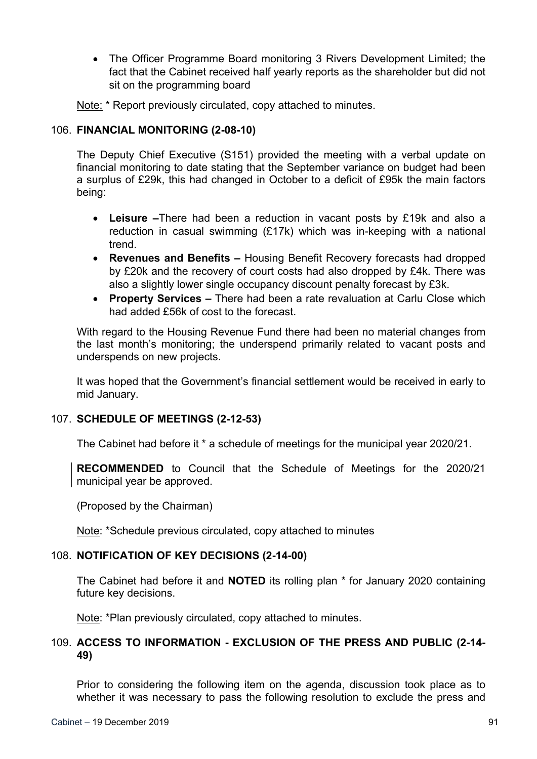The Officer Programme Board monitoring 3 Rivers Development Limited; the fact that the Cabinet received half yearly reports as the shareholder but did not sit on the programming board

Note: \* Report previously circulated, copy attached to minutes.

### 106. **FINANCIAL MONITORING (2-08-10)**

The Deputy Chief Executive (S151) provided the meeting with a verbal update on financial monitoring to date stating that the September variance on budget had been a surplus of £29k, this had changed in October to a deficit of £95k the main factors being:

- **Leisure –**There had been a reduction in vacant posts by £19k and also a reduction in casual swimming (£17k) which was in-keeping with a national trend.
- **Revenues and Benefits –** Housing Benefit Recovery forecasts had dropped by £20k and the recovery of court costs had also dropped by £4k. There was also a slightly lower single occupancy discount penalty forecast by £3k.
- **Property Services –** There had been a rate revaluation at Carlu Close which had added £56k of cost to the forecast.

With regard to the Housing Revenue Fund there had been no material changes from the last month's monitoring; the underspend primarily related to vacant posts and underspends on new projects.

It was hoped that the Government's financial settlement would be received in early to mid January.

## 107. **SCHEDULE OF MEETINGS (2-12-53)**

The Cabinet had before it \* a schedule of meetings for the municipal year 2020/21.

**RECOMMENDED** to Council that the Schedule of Meetings for the 2020/21 municipal year be approved.

(Proposed by the Chairman)

Note: \*Schedule previous circulated, copy attached to minutes

## 108. **NOTIFICATION OF KEY DECISIONS (2-14-00)**

The Cabinet had before it and **NOTED** its rolling plan \* for January 2020 containing future key decisions.

Note: \*Plan previously circulated, copy attached to minutes.

# 109. **ACCESS TO INFORMATION - EXCLUSION OF THE PRESS AND PUBLIC (2-14- 49)**

Prior to considering the following item on the agenda, discussion took place as to whether it was necessary to pass the following resolution to exclude the press and